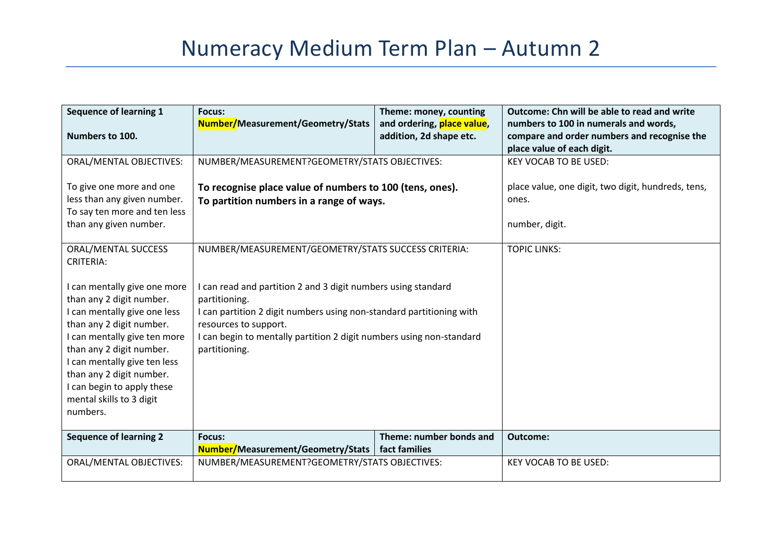| <b>Sequence of learning 1</b><br>Numbers to 100.                                                                                                                                                                                                                                                                   | <b>Focus:</b><br>Number/Measurement/Geometry/Stats                                                                                                                                                                                                                       | Theme: money, counting<br>and ordering, place value,<br>addition, 2d shape etc. | <b>Outcome: Chn will be able to read and write</b><br>numbers to 100 in numerals and words,<br>compare and order numbers and recognise the<br>place value of each digit. |
|--------------------------------------------------------------------------------------------------------------------------------------------------------------------------------------------------------------------------------------------------------------------------------------------------------------------|--------------------------------------------------------------------------------------------------------------------------------------------------------------------------------------------------------------------------------------------------------------------------|---------------------------------------------------------------------------------|--------------------------------------------------------------------------------------------------------------------------------------------------------------------------|
| <b>ORAL/MENTAL OBJECTIVES:</b><br>To give one more and one<br>less than any given number.<br>To say ten more and ten less                                                                                                                                                                                          | NUMBER/MEASUREMENT?GEOMETRY/STATS OBJECTIVES:<br>To recognise place value of numbers to 100 (tens, ones).<br>To partition numbers in a range of ways.                                                                                                                    |                                                                                 | <b>KEY VOCAB TO BE USED:</b><br>place value, one digit, two digit, hundreds, tens,<br>ones.                                                                              |
| than any given number.<br>ORAL/MENTAL SUCCESS<br><b>CRITERIA:</b>                                                                                                                                                                                                                                                  | NUMBER/MEASUREMENT/GEOMETRY/STATS SUCCESS CRITERIA:                                                                                                                                                                                                                      |                                                                                 | number, digit.<br><b>TOPIC LINKS:</b>                                                                                                                                    |
| I can mentally give one more<br>than any 2 digit number.<br>I can mentally give one less<br>than any 2 digit number.<br>I can mentally give ten more<br>than any 2 digit number.<br>I can mentally give ten less<br>than any 2 digit number.<br>I can begin to apply these<br>mental skills to 3 digit<br>numbers. | I can read and partition 2 and 3 digit numbers using standard<br>partitioning.<br>I can partition 2 digit numbers using non-standard partitioning with<br>resources to support.<br>I can begin to mentally partition 2 digit numbers using non-standard<br>partitioning. |                                                                                 |                                                                                                                                                                          |
| <b>Sequence of learning 2</b>                                                                                                                                                                                                                                                                                      | Focus:<br>Number/Measurement/Geometry/Stats                                                                                                                                                                                                                              | Theme: number bonds and<br>fact families                                        | Outcome:                                                                                                                                                                 |
| ORAL/MENTAL OBJECTIVES:                                                                                                                                                                                                                                                                                            | NUMBER/MEASUREMENT?GEOMETRY/STATS OBJECTIVES:                                                                                                                                                                                                                            |                                                                                 | <b>KEY VOCAB TO BE USED:</b>                                                                                                                                             |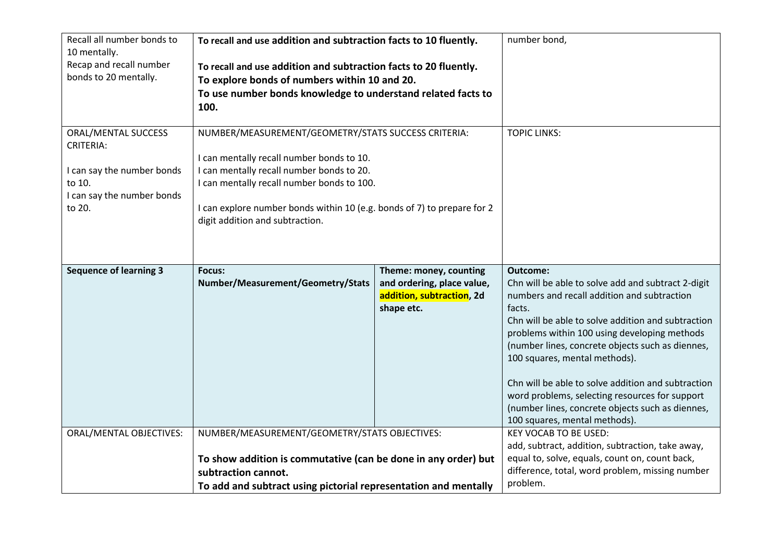| Recall all number bonds to<br>10 mentally.<br>Recap and recall number<br>bonds to 20 mentally.                                 | To recall and use addition and subtraction facts to 10 fluently.<br>To recall and use addition and subtraction facts to 20 fluently.<br>To explore bonds of numbers within 10 and 20.<br>To use number bonds knowledge to understand related facts to<br>100.                                             |                                                                                                 | number bond,                                                                                                                                                                                                                                                                                                                                                                                                                                                                                                    |
|--------------------------------------------------------------------------------------------------------------------------------|-----------------------------------------------------------------------------------------------------------------------------------------------------------------------------------------------------------------------------------------------------------------------------------------------------------|-------------------------------------------------------------------------------------------------|-----------------------------------------------------------------------------------------------------------------------------------------------------------------------------------------------------------------------------------------------------------------------------------------------------------------------------------------------------------------------------------------------------------------------------------------------------------------------------------------------------------------|
| <b>ORAL/MENTAL SUCCESS</b><br><b>CRITERIA:</b><br>I can say the number bonds<br>to 10.<br>I can say the number bonds<br>to 20. | NUMBER/MEASUREMENT/GEOMETRY/STATS SUCCESS CRITERIA:<br>I can mentally recall number bonds to 10.<br>I can mentally recall number bonds to 20.<br>I can mentally recall number bonds to 100.<br>I can explore number bonds within 10 (e.g. bonds of 7) to prepare for 2<br>digit addition and subtraction. |                                                                                                 | <b>TOPIC LINKS:</b>                                                                                                                                                                                                                                                                                                                                                                                                                                                                                             |
| <b>Sequence of learning 3</b>                                                                                                  | Focus:<br>Number/Measurement/Geometry/Stats                                                                                                                                                                                                                                                               | Theme: money, counting<br>and ordering, place value,<br>addition, subtraction, 2d<br>shape etc. | Outcome:<br>Chn will be able to solve add and subtract 2-digit<br>numbers and recall addition and subtraction<br>facts.<br>Chn will be able to solve addition and subtraction<br>problems within 100 using developing methods<br>(number lines, concrete objects such as diennes,<br>100 squares, mental methods).<br>Chn will be able to solve addition and subtraction<br>word problems, selecting resources for support<br>(number lines, concrete objects such as diennes,<br>100 squares, mental methods). |
| <b>ORAL/MENTAL OBJECTIVES:</b>                                                                                                 | NUMBER/MEASUREMENT/GEOMETRY/STATS OBJECTIVES:<br>To show addition is commutative (can be done in any order) but<br>subtraction cannot.<br>To add and subtract using pictorial representation and mentally                                                                                                 |                                                                                                 | <b>KEY VOCAB TO BE USED:</b><br>add, subtract, addition, subtraction, take away,<br>equal to, solve, equals, count on, count back,<br>difference, total, word problem, missing number<br>problem.                                                                                                                                                                                                                                                                                                               |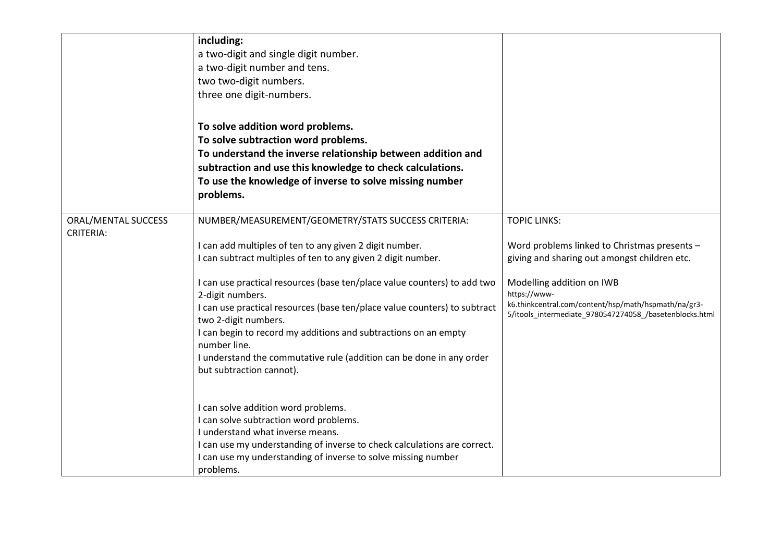|                                         | including:<br>a two-digit and single digit number.<br>a two-digit number and tens.<br>two two-digit numbers.<br>three one digit-numbers.                                                                                                                                                                                                                                                                                                                                                                                                                                   |                                                                                                                                                                                                                                                                                     |
|-----------------------------------------|----------------------------------------------------------------------------------------------------------------------------------------------------------------------------------------------------------------------------------------------------------------------------------------------------------------------------------------------------------------------------------------------------------------------------------------------------------------------------------------------------------------------------------------------------------------------------|-------------------------------------------------------------------------------------------------------------------------------------------------------------------------------------------------------------------------------------------------------------------------------------|
|                                         | To solve addition word problems.<br>To solve subtraction word problems.<br>To understand the inverse relationship between addition and<br>subtraction and use this knowledge to check calculations.<br>To use the knowledge of inverse to solve missing number<br>problems.                                                                                                                                                                                                                                                                                                |                                                                                                                                                                                                                                                                                     |
| ORAL/MENTAL SUCCESS<br><b>CRITERIA:</b> | NUMBER/MEASUREMENT/GEOMETRY/STATS SUCCESS CRITERIA:<br>I can add multiples of ten to any given 2 digit number.<br>I can subtract multiples of ten to any given 2 digit number.<br>I can use practical resources (base ten/place value counters) to add two<br>2-digit numbers.<br>I can use practical resources (base ten/place value counters) to subtract<br>two 2-digit numbers.<br>I can begin to record my additions and subtractions on an empty<br>number line.<br>I understand the commutative rule (addition can be done in any order<br>but subtraction cannot). | <b>TOPIC LINKS:</b><br>Word problems linked to Christmas presents -<br>giving and sharing out amongst children etc.<br>Modelling addition on IWB<br>https://www-<br>k6.thinkcentral.com/content/hsp/math/hspmath/na/gr3-<br>5/itools_intermediate_9780547274058_/basetenblocks.html |
|                                         | I can solve addition word problems.<br>I can solve subtraction word problems.<br>I understand what inverse means.<br>I can use my understanding of inverse to check calculations are correct.<br>I can use my understanding of inverse to solve missing number<br>problems.                                                                                                                                                                                                                                                                                                |                                                                                                                                                                                                                                                                                     |